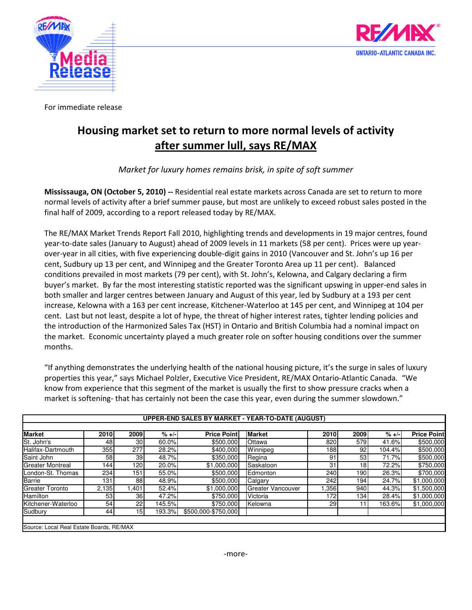



For immediate release

## Housing market set to return to more normal levels of activity after summer lull, says RE/MAX

Market for luxury homes remains brisk, in spite of soft summer

Mississauga, ON (October 5, 2010) -- Residential real estate markets across Canada are set to return to more normal levels of activity after a brief summer pause, but most are unlikely to exceed robust sales posted in the final half of 2009, according to a report released today by RE/MAX.

The RE/MAX Market Trends Report Fall 2010, highlighting trends and developments in 19 major centres, found year-to-date sales (January to August) ahead of 2009 levels in 11 markets (58 per cent). Prices were up yearover-year in all cities, with five experiencing double-digit gains in 2010 (Vancouver and St. John's up 16 per cent, Sudbury up 13 per cent, and Winnipeg and the Greater Toronto Area up 11 per cent). Balanced conditions prevailed in most markets (79 per cent), with St. John's, Kelowna, and Calgary declaring a firm buyer's market. By far the most interesting statistic reported was the significant upswing in upper-end sales in both smaller and larger centres between January and August of this year, led by Sudbury at a 193 per cent increase, Kelowna with a 163 per cent increase, Kitchener-Waterloo at 145 per cent, and Winnipeg at 104 per cent. Last but not least, despite a lot of hype, the threat of higher interest rates, tighter lending policies and the introduction of the Harmonized Sales Tax (HST) in Ontario and British Columbia had a nominal impact on the market. Economic uncertainty played a much greater role on softer housing conditions over the summer months.

"If anything demonstrates the underlying health of the national housing picture, it's the surge in sales of luxury properties this year," says Michael Polzler, Executive Vice President, RE/MAX Ontario-Atlantic Canada. "We know from experience that this segment of the market is usually the first to show pressure cracks when a market is softening- that has certainly not been the case this year, even during the summer slowdown."

| <b>Market</b>           | 2010    | 2009            | $% + -$ | <b>Price Point</b>  | <b>Market</b>     | 2010             | 2009            | $% +/-$ | <b>Price Point</b> |
|-------------------------|---------|-----------------|---------|---------------------|-------------------|------------------|-----------------|---------|--------------------|
| St. John's              | 48      | 30              | 60.0%   | \$500,000           | <b>Ottawa</b>     | 820              | 579             | 41.6%   | \$500,000          |
| Halifax-Dartmouth       | 355     | 277             | 28.2%   | \$400,000           | Winnipeg          | 1881             | 92              | 104.4%  | \$500,000          |
| Saint John              | 58      | 39 <sub>1</sub> | 48.7%   | \$350,000           | Regina            | 91               | 53              | 71.7%   | \$500,000          |
| <b>Greater Montreal</b> | $144_1$ | 120             | 20.0%   | \$1,000,000         | Saskatoon         | 31               | 18 <sup>1</sup> | 72.2%   | \$750,000          |
| London-St. Thomas       | 234     | 151             | 55.0%   | \$500,000           | Edmonton          | 240              | 1901            | 26.3%   | \$700,000          |
| Barrie                  | 131     | 88              | 48.9%   | \$500,000           | Calgary           | 242              | 194             | 24.7%   | \$1,000,000        |
| <b>Greater Toronto</b>  | 2,135   | 1,401           | 52.4%   | \$1,000,000         | Greater Vancouver | .356             | 940             | 44.3%   | \$1,500,000        |
| <b>Hamilton</b>         | 53      | 36              | 47.2%   | \$750,000           | Victoria          | 172 <sub>1</sub> | 134             | 28.4%   | \$1,000,000        |
| Kitchener-Waterloo      | 54      | 22              | 145.5%  | \$750,000           | Kelowna           | 29 <sub>l</sub>  | 11              | 163.6%  | \$1,000,000        |
| Sudbury                 | 44      | 15 <sup>1</sup> | 193.3%  | \$500,000-\$750,000 |                   |                  |                 |         |                    |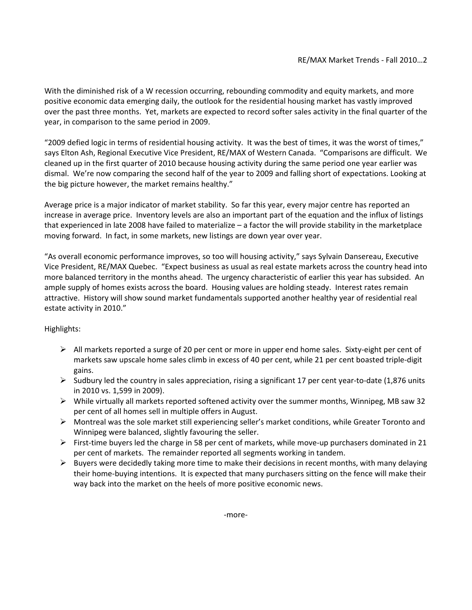With the diminished risk of a W recession occurring, rebounding commodity and equity markets, and more positive economic data emerging daily, the outlook for the residential housing market has vastly improved over the past three months. Yet, markets are expected to record softer sales activity in the final quarter of the year, in comparison to the same period in 2009.

"2009 defied logic in terms of residential housing activity. It was the best of times, it was the worst of times," says Elton Ash, Regional Executive Vice President, RE/MAX of Western Canada. "Comparisons are difficult. We cleaned up in the first quarter of 2010 because housing activity during the same period one year earlier was dismal. We're now comparing the second half of the year to 2009 and falling short of expectations. Looking at the big picture however, the market remains healthy."

Average price is a major indicator of market stability. So far this year, every major centre has reported an increase in average price. Inventory levels are also an important part of the equation and the influx of listings that experienced in late 2008 have failed to materialize – a factor the will provide stability in the marketplace moving forward. In fact, in some markets, new listings are down year over year.

"As overall economic performance improves, so too will housing activity," says Sylvain Dansereau, Executive Vice President, RE/MAX Quebec. "Expect business as usual as real estate markets across the country head into more balanced territory in the months ahead. The urgency characteristic of earlier this year has subsided. An ample supply of homes exists across the board. Housing values are holding steady. Interest rates remain attractive. History will show sound market fundamentals supported another healthy year of residential real estate activity in 2010."

## Highlights:

- $\triangleright$  All markets reported a surge of 20 per cent or more in upper end home sales. Sixty-eight per cent of markets saw upscale home sales climb in excess of 40 per cent, while 21 per cent boasted triple-digit gains.
- $\triangleright$  Sudbury led the country in sales appreciation, rising a significant 17 per cent year-to-date (1,876 units in 2010 vs. 1,599 in 2009).
- $\triangleright$  While virtually all markets reported softened activity over the summer months, Winnipeg, MB saw 32 per cent of all homes sell in multiple offers in August.
- $\triangleright$  Montreal was the sole market still experiencing seller's market conditions, while Greater Toronto and Winnipeg were balanced, slightly favouring the seller.
- First-time buyers led the charge in 58 per cent of markets, while move-up purchasers dominated in 21 per cent of markets. The remainder reported all segments working in tandem.
- $\triangleright$  Buyers were decidedly taking more time to make their decisions in recent months, with many delaying their home-buying intentions. It is expected that many purchasers sitting on the fence will make their way back into the market on the heels of more positive economic news.